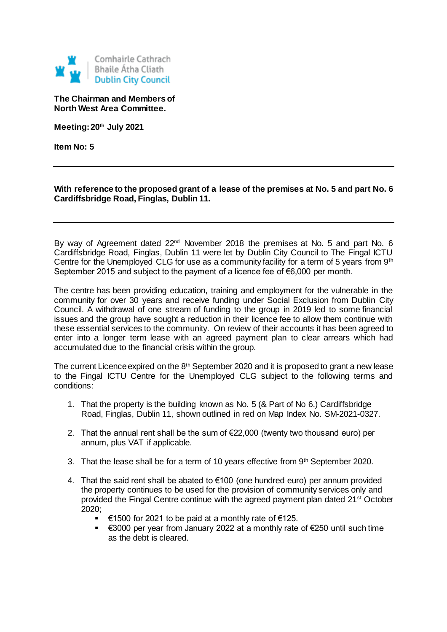

**The Chairman and Members of North West Area Committee.**

**Meeting: 20th July 2021**

**Item No: 5**

**With reference to the proposed grant of a lease of the premises at No. 5 and part No. 6 Cardiffsbridge Road, Finglas, Dublin 11.**

By way of Agreement dated 22<sup>nd</sup> November 2018 the premises at No. 5 and part No. 6 Cardiffsbridge Road, Finglas, Dublin 11 were let by Dublin City Council to The Fingal ICTU Centre for the Unemployed CLG for use as a community facility for a term of 5 years from 9<sup>th</sup> September 2015 and subject to the payment of a licence fee of €6,000 per month.

The centre has been providing education, training and employment for the vulnerable in the community for over 30 years and receive funding under Social Exclusion from Dublin City Council. A withdrawal of one stream of funding to the group in 2019 led to some financial issues and the group have sought a reduction in their licence fee to allow them continue with these essential services to the community. On review of their accounts it has been agreed to enter into a longer term lease with an agreed payment plan to clear arrears which had accumulated due to the financial crisis within the group.

The current Licence expired on the 8<sup>th</sup> September 2020 and it is proposed to grant a new lease to the Fingal ICTU Centre for the Unemployed CLG subject to the following terms and conditions:

- 1. That the property is the building known as No. 5 (& Part of No 6.) Cardiffsbridge Road, Finglas, Dublin 11, shown outlined in red on Map Index No. SM-2021-0327.
- 2. That the annual rent shall be the sum of €22,000 (twenty two thousand euro) per annum, plus VAT if applicable.
- 3. That the lease shall be for a term of 10 years effective from 9th September 2020.
- 4. That the said rent shall be abated to €100 (one hundred euro) per annum provided the property continues to be used for the provision of community services only and provided the Fingal Centre continue with the agreed payment plan dated 21st October 2020;
	- €1500 for 2021 to be paid at a monthly rate of €125.
	- €3000 per year from January 2022 at a monthly rate of €250 until such time as the debt is cleared.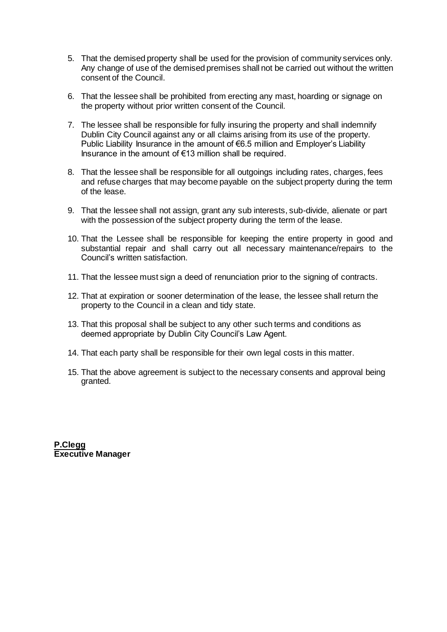- 5. That the demised property shall be used for the provision of community services only. Any change of use of the demised premises shall not be carried out without the written consent of the Council.
- 6. That the lessee shall be prohibited from erecting any mast, hoarding or signage on the property without prior written consent of the Council.
- 7. The lessee shall be responsible for fully insuring the property and shall indemnify Dublin City Council against any or all claims arising from its use of the property. Public Liability Insurance in the amount of €6.5 million and Employer's Liability Insurance in the amount of €13 million shall be required.
- 8. That the lessee shall be responsible for all outgoings including rates, charges, fees and refuse charges that may become payable on the subject property during the term of the lease.
- 9. That the lessee shall not assign, grant any sub interests, sub-divide, alienate or part with the possession of the subject property during the term of the lease.
- 10. That the Lessee shall be responsible for keeping the entire property in good and substantial repair and shall carry out all necessary maintenance/repairs to the Council's written satisfaction.
- 11. That the lessee must sign a deed of renunciation prior to the signing of contracts.
- 12. That at expiration or sooner determination of the lease, the lessee shall return the property to the Council in a clean and tidy state.
- 13. That this proposal shall be subject to any other such terms and conditions as deemed appropriate by Dublin City Council's Law Agent.
- 14. That each party shall be responsible for their own legal costs in this matter.
- 15. That the above agreement is subject to the necessary consents and approval being granted.

**P.Clegg Executive Manager**